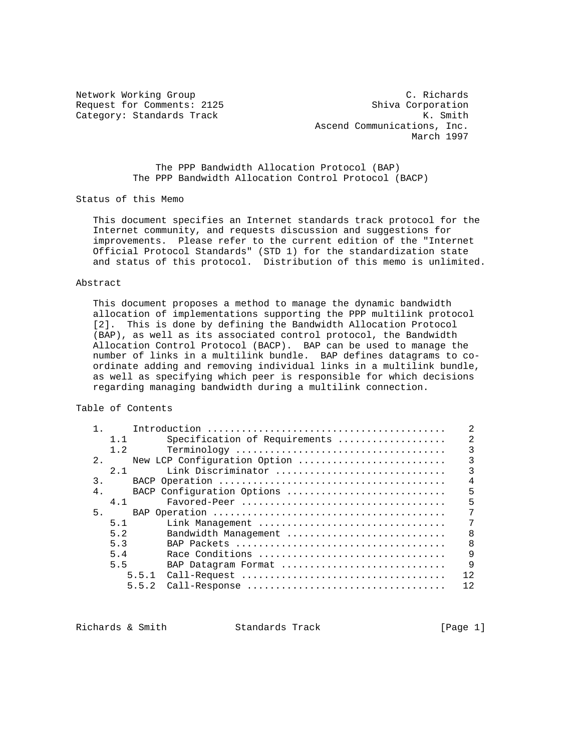Network Working Group C. Richards Request for Comments: 2125 Shiva Corporation Category: Standards Track K. Smith Ascend Communications, Inc. March 1997

> The PPP Bandwidth Allocation Protocol (BAP) The PPP Bandwidth Allocation Control Protocol (BACP)

Status of this Memo

 This document specifies an Internet standards track protocol for the Internet community, and requests discussion and suggestions for improvements. Please refer to the current edition of the "Internet Official Protocol Standards" (STD 1) for the standardization state and status of this protocol. Distribution of this memo is unlimited.

### Abstract

 This document proposes a method to manage the dynamic bandwidth allocation of implementations supporting the PPP multilink protocol [2]. This is done by defining the Bandwidth Allocation Protocol (BAP), as well as its associated control protocol, the Bandwidth Allocation Control Protocol (BACP). BAP can be used to manage the number of links in a multilink bundle. BAP defines datagrams to co ordinate adding and removing individual links in a multilink bundle, as well as specifying which peer is responsible for which decisions regarding managing bandwidth during a multilink connection.

Table of Contents

|                |     |       |                               | 2              |
|----------------|-----|-------|-------------------------------|----------------|
|                | 1.1 |       | Specification of Requirements | $\mathfrak{D}$ |
|                | 1.2 |       |                               | ς              |
| 2.             |     |       | New LCP Configuration Option  | 3              |
|                | 2.1 |       | Link Discriminator            | 3              |
| 3.             |     |       |                               | 4              |
| 4 <sub>1</sub> |     |       | BACP Configuration Options    | 5              |
|                | 4.1 |       |                               | 5              |
| 5.             |     |       |                               |                |
|                | 5.1 |       | Link Management               | 7              |
|                | 5.2 |       | Bandwidth Management          | $\mathsf{B}$   |
|                | 5.3 |       |                               | R              |
|                | 5.4 |       | Race Conditions               | 9              |
|                | 5.5 |       | BAP Datagram Format           | 9              |
|                |     | 5.5.1 |                               | 12             |
|                |     | 5.5.2 | Call-Response                 | 12             |
|                |     |       |                               |                |

Richards & Smith Standards Track [Page 1]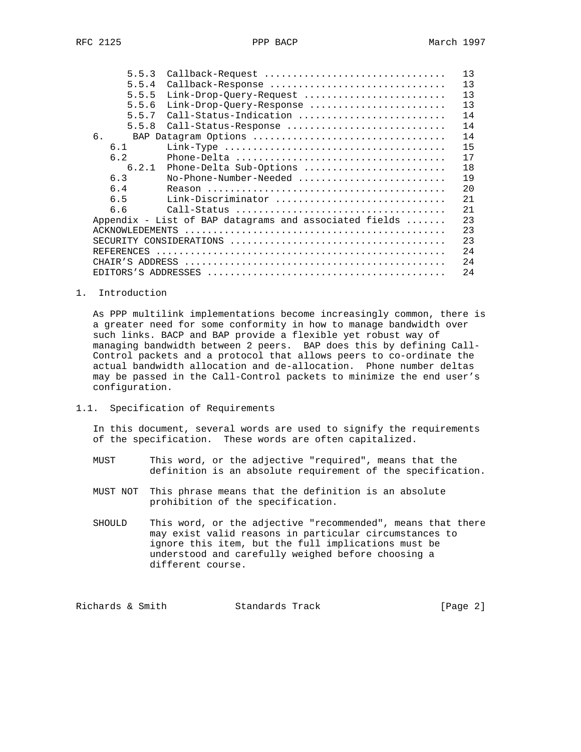| 5.5.3                  | Callback-Request                                       | 13 |
|------------------------|--------------------------------------------------------|----|
| 5.5.4                  | Callback-Response                                      | 13 |
| 5.5.5                  | Link-Drop-Query-Request                                | 13 |
| 5.5.6                  | Link-Drop-Query-Response                               | 13 |
| 5.5.7                  | Call-Status-Indication                                 | 14 |
| 5.5.8                  | Call-Status-Response                                   | 14 |
| 6.                     |                                                        | 14 |
| 6.1                    |                                                        | 15 |
| 6.2                    |                                                        | 17 |
| 6.2.1                  | Phone-Delta Sub-Options                                | 18 |
| 6.3                    | No-Phone-Number-Needed                                 | 19 |
| 6.4                    |                                                        | 20 |
| 6.5                    | Link-Discriminator                                     | 21 |
| 6.6                    |                                                        | 21 |
|                        | Appendix - List of BAP datagrams and associated fields | 23 |
| <b>ACKNOWLEDEMENTS</b> |                                                        | 23 |
|                        |                                                        | 23 |
| REFERENCES             |                                                        | 24 |
| CHAIR'S ADDRESS        |                                                        | 24 |
|                        |                                                        | 24 |

1. Introduction

 As PPP multilink implementations become increasingly common, there is a greater need for some conformity in how to manage bandwidth over such links. BACP and BAP provide a flexible yet robust way of managing bandwidth between 2 peers. BAP does this by defining Call- Control packets and a protocol that allows peers to co-ordinate the actual bandwidth allocation and de-allocation. Phone number deltas may be passed in the Call-Control packets to minimize the end user's configuration.

1.1. Specification of Requirements

 In this document, several words are used to signify the requirements of the specification. These words are often capitalized.

- MUST This word, or the adjective "required", means that the definition is an absolute requirement of the specification.
- MUST NOT This phrase means that the definition is an absolute prohibition of the specification.
- SHOULD This word, or the adjective "recommended", means that there may exist valid reasons in particular circumstances to ignore this item, but the full implications must be understood and carefully weighed before choosing a different course.

Richards & Smith Standards Track [Page 2]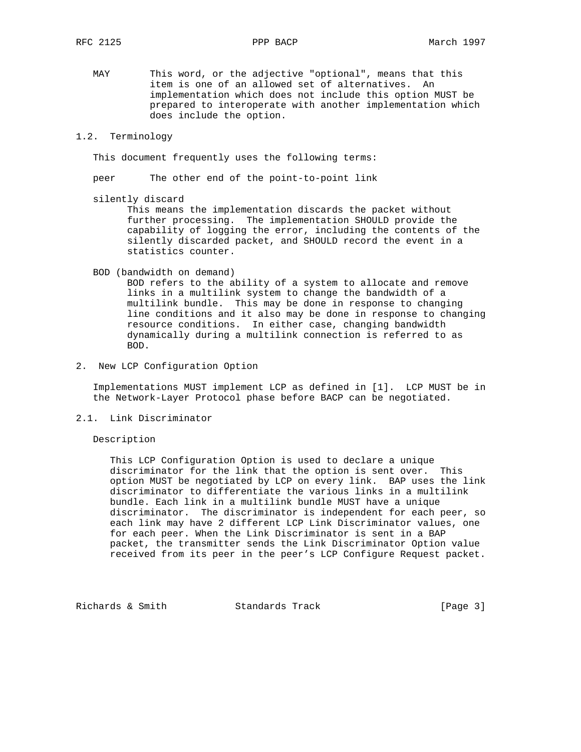MAY This word, or the adjective "optional", means that this item is one of an allowed set of alternatives. An implementation which does not include this option MUST be prepared to interoperate with another implementation which does include the option.

## 1.2. Terminology

This document frequently uses the following terms:

peer The other end of the point-to-point link

silently discard

 This means the implementation discards the packet without further processing. The implementation SHOULD provide the capability of logging the error, including the contents of the silently discarded packet, and SHOULD record the event in a statistics counter.

BOD (bandwidth on demand)

 BOD refers to the ability of a system to allocate and remove links in a multilink system to change the bandwidth of a multilink bundle. This may be done in response to changing line conditions and it also may be done in response to changing resource conditions. In either case, changing bandwidth dynamically during a multilink connection is referred to as BOD.

2. New LCP Configuration Option

 Implementations MUST implement LCP as defined in [1]. LCP MUST be in the Network-Layer Protocol phase before BACP can be negotiated.

2.1. Link Discriminator

## Description

 This LCP Configuration Option is used to declare a unique discriminator for the link that the option is sent over. This option MUST be negotiated by LCP on every link. BAP uses the link discriminator to differentiate the various links in a multilink bundle. Each link in a multilink bundle MUST have a unique discriminator. The discriminator is independent for each peer, so each link may have 2 different LCP Link Discriminator values, one for each peer. When the Link Discriminator is sent in a BAP packet, the transmitter sends the Link Discriminator Option value received from its peer in the peer's LCP Configure Request packet.

Richards & Smith Standards Track [Page 3]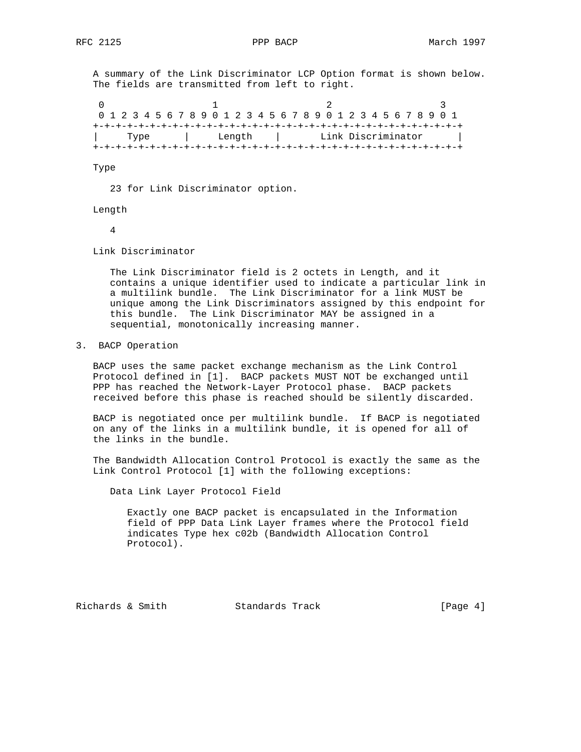A summary of the Link Discriminator LCP Option format is shown below. The fields are transmitted from left to right.

0  $1$  2 3 0 1 2 3 4 5 6 7 8 9 0 1 2 3 4 5 6 7 8 9 0 1 2 3 4 5 6 7 8 9 0 1 +-+-+-+-+-+-+-+-+-+-+-+-+-+-+-+-+-+-+-+-+-+-+-+-+-+-+-+-+-+-+-+-+ | Type | Length | Link Discriminator | +-+-+-+-+-+-+-+-+-+-+-+-+-+-+-+-+-+-+-+-+-+-+-+-+-+-+-+-+-+-+-+-+

Type

23 for Link Discriminator option.

Length

4

Link Discriminator

 The Link Discriminator field is 2 octets in Length, and it contains a unique identifier used to indicate a particular link in a multilink bundle. The Link Discriminator for a link MUST be unique among the Link Discriminators assigned by this endpoint for this bundle. The Link Discriminator MAY be assigned in a sequential, monotonically increasing manner.

3. BACP Operation

 BACP uses the same packet exchange mechanism as the Link Control Protocol defined in [1]. BACP packets MUST NOT be exchanged until PPP has reached the Network-Layer Protocol phase. BACP packets received before this phase is reached should be silently discarded.

 BACP is negotiated once per multilink bundle. If BACP is negotiated on any of the links in a multilink bundle, it is opened for all of the links in the bundle.

 The Bandwidth Allocation Control Protocol is exactly the same as the Link Control Protocol [1] with the following exceptions:

Data Link Layer Protocol Field

 Exactly one BACP packet is encapsulated in the Information field of PPP Data Link Layer frames where the Protocol field indicates Type hex c02b (Bandwidth Allocation Control Protocol).

Richards & Smith Standards Track [Page 4]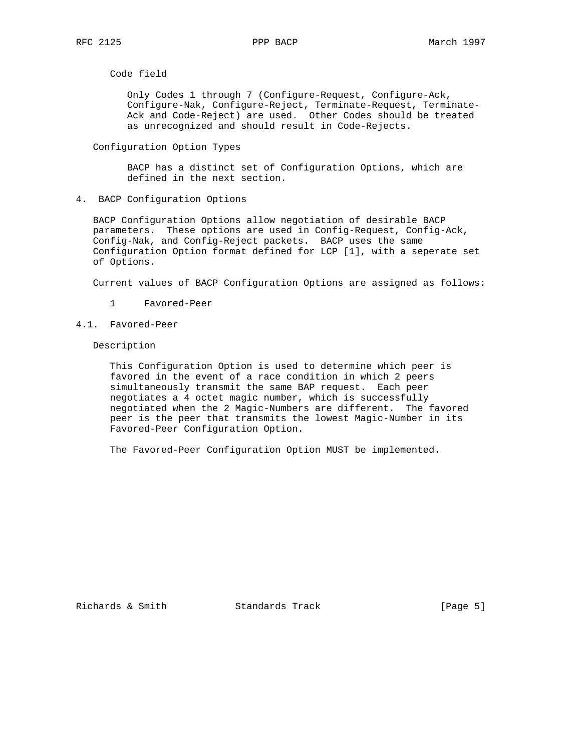Code field

 Only Codes 1 through 7 (Configure-Request, Configure-Ack, Configure-Nak, Configure-Reject, Terminate-Request, Terminate- Ack and Code-Reject) are used. Other Codes should be treated as unrecognized and should result in Code-Rejects.

Configuration Option Types

 BACP has a distinct set of Configuration Options, which are defined in the next section.

4. BACP Configuration Options

 BACP Configuration Options allow negotiation of desirable BACP parameters. These options are used in Config-Request, Config-Ack, Config-Nak, and Config-Reject packets. BACP uses the same Configuration Option format defined for LCP [1], with a seperate set of Options.

Current values of BACP Configuration Options are assigned as follows:

- 1 Favored-Peer
- 4.1. Favored-Peer

Description

 This Configuration Option is used to determine which peer is favored in the event of a race condition in which 2 peers simultaneously transmit the same BAP request. Each peer negotiates a 4 octet magic number, which is successfully negotiated when the 2 Magic-Numbers are different. The favored peer is the peer that transmits the lowest Magic-Number in its Favored-Peer Configuration Option.

The Favored-Peer Configuration Option MUST be implemented.

Richards & Smith Standards Track [Page 5]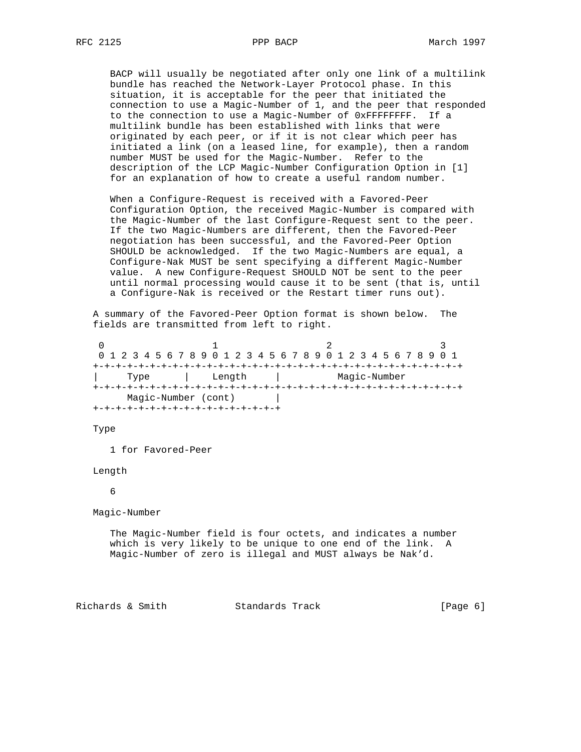BACP will usually be negotiated after only one link of a multilink bundle has reached the Network-Layer Protocol phase. In this situation, it is acceptable for the peer that initiated the connection to use a Magic-Number of 1, and the peer that responded to the connection to use a Magic-Number of 0xFFFFFFFF. If a multilink bundle has been established with links that were originated by each peer, or if it is not clear which peer has initiated a link (on a leased line, for example), then a random number MUST be used for the Magic-Number. Refer to the description of the LCP Magic-Number Configuration Option in [1] for an explanation of how to create a useful random number.

 When a Configure-Request is received with a Favored-Peer Configuration Option, the received Magic-Number is compared with the Magic-Number of the last Configure-Request sent to the peer. If the two Magic-Numbers are different, then the Favored-Peer negotiation has been successful, and the Favored-Peer Option SHOULD be acknowledged. If the two Magic-Numbers are equal, a Configure-Nak MUST be sent specifying a different Magic-Number value. A new Configure-Request SHOULD NOT be sent to the peer until normal processing would cause it to be sent (that is, until a Configure-Nak is received or the Restart timer runs out).

 A summary of the Favored-Peer Option format is shown below. The fields are transmitted from left to right.

0  $1$  2 3 0 1 2 3 4 5 6 7 8 9 0 1 2 3 4 5 6 7 8 9 0 1 2 3 4 5 6 7 8 9 0 1 +-+-+-+-+-+-+-+-+-+-+-+-+-+-+-+-+-+-+-+-+-+-+-+-+-+-+-+-+-+-+-+-+ | Type | Length | Magic-Number +-+-+-+-+-+-+-+-+-+-+-+-+-+-+-+-+-+-+-+-+-+-+-+-+-+-+-+-+-+-+-+-+ Magic-Number (cont) | +-+-+-+-+-+-+-+-+-+-+-+-+-+-+-+-+

Type

1 for Favored-Peer

Length

6

Magic-Number

 The Magic-Number field is four octets, and indicates a number which is very likely to be unique to one end of the link. A Magic-Number of zero is illegal and MUST always be Nak'd.

Richards & Smith Standards Track [Page 6]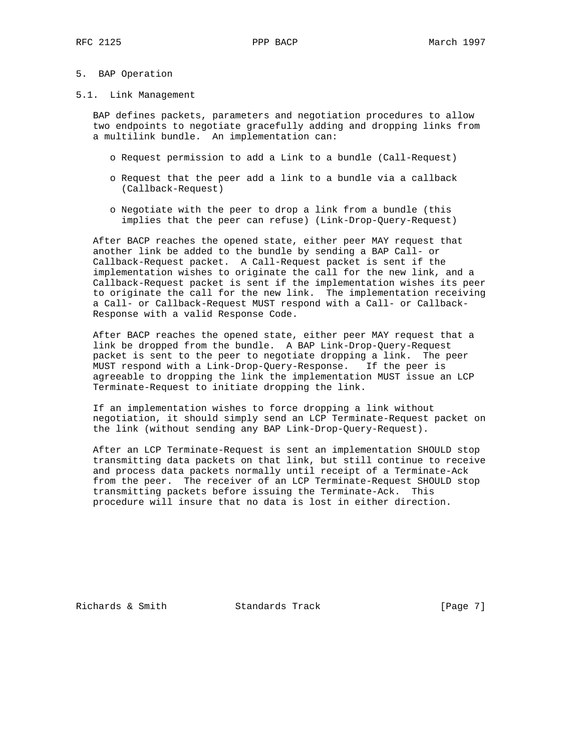## 5. BAP Operation

#### 5.1. Link Management

 BAP defines packets, parameters and negotiation procedures to allow two endpoints to negotiate gracefully adding and dropping links from a multilink bundle. An implementation can:

- o Request permission to add a Link to a bundle (Call-Request)
- o Request that the peer add a link to a bundle via a callback (Callback-Request)
- o Negotiate with the peer to drop a link from a bundle (this implies that the peer can refuse) (Link-Drop-Query-Request)

 After BACP reaches the opened state, either peer MAY request that another link be added to the bundle by sending a BAP Call- or Callback-Request packet. A Call-Request packet is sent if the implementation wishes to originate the call for the new link, and a Callback-Request packet is sent if the implementation wishes its peer to originate the call for the new link. The implementation receiving a Call- or Callback-Request MUST respond with a Call- or Callback- Response with a valid Response Code.

 After BACP reaches the opened state, either peer MAY request that a link be dropped from the bundle. A BAP Link-Drop-Query-Request packet is sent to the peer to negotiate dropping a link. The peer MUST respond with a Link-Drop-Query-Response. If the peer is agreeable to dropping the link the implementation MUST issue an LCP Terminate-Request to initiate dropping the link.

 If an implementation wishes to force dropping a link without negotiation, it should simply send an LCP Terminate-Request packet on the link (without sending any BAP Link-Drop-Query-Request).

 After an LCP Terminate-Request is sent an implementation SHOULD stop transmitting data packets on that link, but still continue to receive and process data packets normally until receipt of a Terminate-Ack from the peer. The receiver of an LCP Terminate-Request SHOULD stop transmitting packets before issuing the Terminate-Ack. This procedure will insure that no data is lost in either direction.

Richards & Smith Standards Track [Page 7]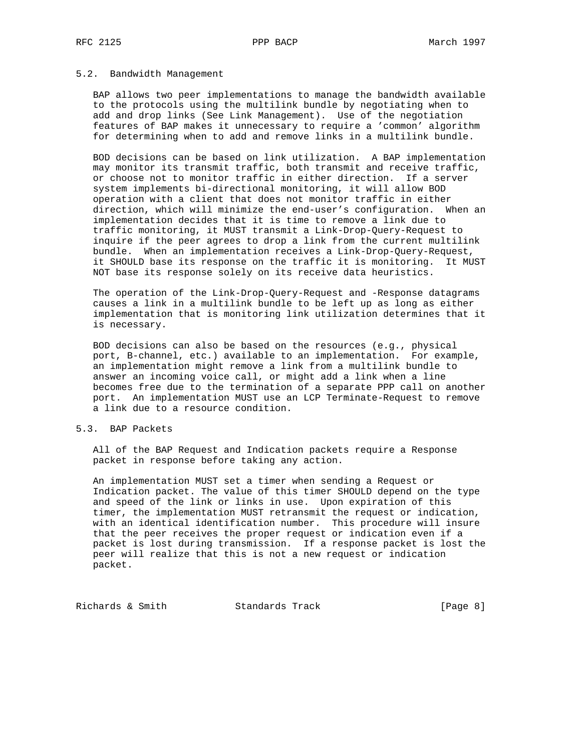## 5.2. Bandwidth Management

 BAP allows two peer implementations to manage the bandwidth available to the protocols using the multilink bundle by negotiating when to add and drop links (See Link Management). Use of the negotiation features of BAP makes it unnecessary to require a 'common' algorithm for determining when to add and remove links in a multilink bundle.

 BOD decisions can be based on link utilization. A BAP implementation may monitor its transmit traffic, both transmit and receive traffic, or choose not to monitor traffic in either direction. If a server system implements bi-directional monitoring, it will allow BOD operation with a client that does not monitor traffic in either direction, which will minimize the end-user's configuration. When an implementation decides that it is time to remove a link due to traffic monitoring, it MUST transmit a Link-Drop-Query-Request to inquire if the peer agrees to drop a link from the current multilink bundle. When an implementation receives a Link-Drop-Query-Request, it SHOULD base its response on the traffic it is monitoring. It MUST NOT base its response solely on its receive data heuristics.

 The operation of the Link-Drop-Query-Request and -Response datagrams causes a link in a multilink bundle to be left up as long as either implementation that is monitoring link utilization determines that it is necessary.

 BOD decisions can also be based on the resources (e.g., physical port, B-channel, etc.) available to an implementation. For example, an implementation might remove a link from a multilink bundle to answer an incoming voice call, or might add a link when a line becomes free due to the termination of a separate PPP call on another port. An implementation MUST use an LCP Terminate-Request to remove a link due to a resource condition.

## 5.3. BAP Packets

 All of the BAP Request and Indication packets require a Response packet in response before taking any action.

 An implementation MUST set a timer when sending a Request or Indication packet. The value of this timer SHOULD depend on the type and speed of the link or links in use. Upon expiration of this timer, the implementation MUST retransmit the request or indication, with an identical identification number. This procedure will insure that the peer receives the proper request or indication even if a packet is lost during transmission. If a response packet is lost the peer will realize that this is not a new request or indication packet.

Richards & Smith Standards Track [Page 8]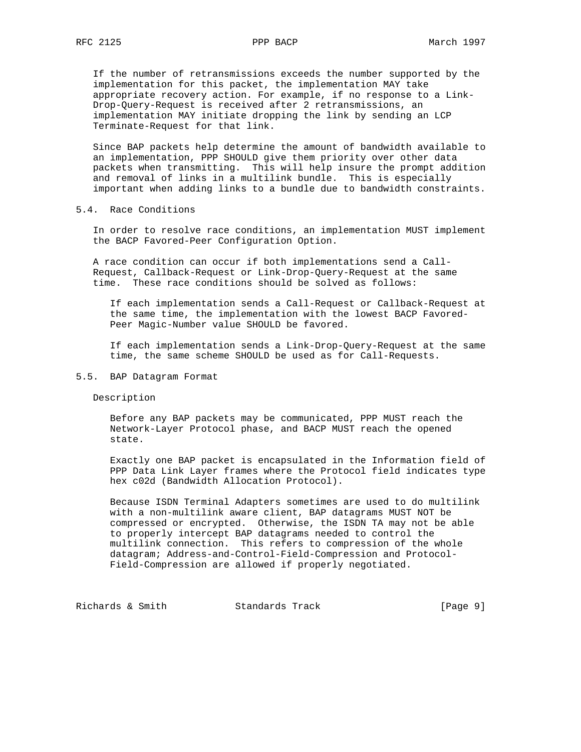If the number of retransmissions exceeds the number supported by the implementation for this packet, the implementation MAY take appropriate recovery action. For example, if no response to a Link- Drop-Query-Request is received after 2 retransmissions, an implementation MAY initiate dropping the link by sending an LCP Terminate-Request for that link.

 Since BAP packets help determine the amount of bandwidth available to an implementation, PPP SHOULD give them priority over other data packets when transmitting. This will help insure the prompt addition and removal of links in a multilink bundle. This is especially important when adding links to a bundle due to bandwidth constraints.

5.4. Race Conditions

 In order to resolve race conditions, an implementation MUST implement the BACP Favored-Peer Configuration Option.

 A race condition can occur if both implementations send a Call- Request, Callback-Request or Link-Drop-Query-Request at the same time. These race conditions should be solved as follows:

 If each implementation sends a Call-Request or Callback-Request at the same time, the implementation with the lowest BACP Favored- Peer Magic-Number value SHOULD be favored.

 If each implementation sends a Link-Drop-Query-Request at the same time, the same scheme SHOULD be used as for Call-Requests.

## 5.5. BAP Datagram Format

Description

 Before any BAP packets may be communicated, PPP MUST reach the Network-Layer Protocol phase, and BACP MUST reach the opened state.

 Exactly one BAP packet is encapsulated in the Information field of PPP Data Link Layer frames where the Protocol field indicates type hex c02d (Bandwidth Allocation Protocol).

 Because ISDN Terminal Adapters sometimes are used to do multilink with a non-multilink aware client, BAP datagrams MUST NOT be compressed or encrypted. Otherwise, the ISDN TA may not be able to properly intercept BAP datagrams needed to control the multilink connection. This refers to compression of the whole datagram; Address-and-Control-Field-Compression and Protocol- Field-Compression are allowed if properly negotiated.

Richards & Smith Standards Track [Page 9]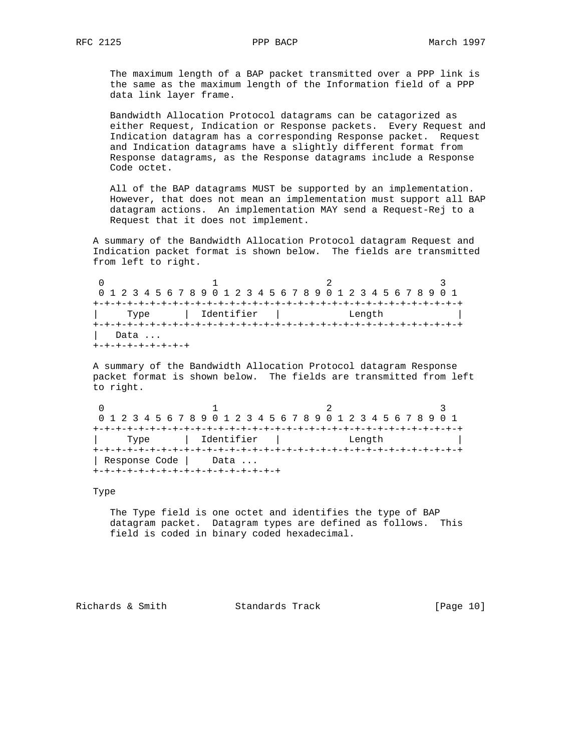The maximum length of a BAP packet transmitted over a PPP link is the same as the maximum length of the Information field of a PPP data link layer frame.

 Bandwidth Allocation Protocol datagrams can be catagorized as either Request, Indication or Response packets. Every Request and Indication datagram has a corresponding Response packet. Request and Indication datagrams have a slightly different format from Response datagrams, as the Response datagrams include a Response Code octet.

 All of the BAP datagrams MUST be supported by an implementation. However, that does not mean an implementation must support all BAP datagram actions. An implementation MAY send a Request-Rej to a Request that it does not implement.

 A summary of the Bandwidth Allocation Protocol datagram Request and Indication packet format is shown below. The fields are transmitted from left to right.

0  $1$  2 3 0 1 2 3 4 5 6 7 8 9 0 1 2 3 4 5 6 7 8 9 0 1 2 3 4 5 6 7 8 9 0 1 +-+-+-+-+-+-+-+-+-+-+-+-+-+-+-+-+-+-+-+-+-+-+-+-+-+-+-+-+-+-+-+-+ | Type | Identifier | Length | +-+-+-+-+-+-+-+-+-+-+-+-+-+-+-+-+-+-+-+-+-+-+-+-+-+-+-+-+-+-+-+-+ | Data ... +-+-+-+-+-+-+-+-+

 A summary of the Bandwidth Allocation Protocol datagram Response packet format is shown below. The fields are transmitted from left to right.

0  $1$   $2$   $3$  0 1 2 3 4 5 6 7 8 9 0 1 2 3 4 5 6 7 8 9 0 1 2 3 4 5 6 7 8 9 0 1 +-+-+-+-+-+-+-+-+-+-+-+-+-+-+-+-+-+-+-+-+-+-+-+-+-+-+-+-+-+-+-+-+ | Type | Identifier | Length | +-+-+-+-+-+-+-+-+-+-+-+-+-+-+-+-+-+-+-+-+-+-+-+-+-+-+-+-+-+-+-+-+ | Response Code | Data ... +-+-+-+-+-+-+-+-+-+-+-+-+-+-+-+-+

Type

 The Type field is one octet and identifies the type of BAP datagram packet. Datagram types are defined as follows. This field is coded in binary coded hexadecimal.

Richards & Smith Standards Track [Page 10]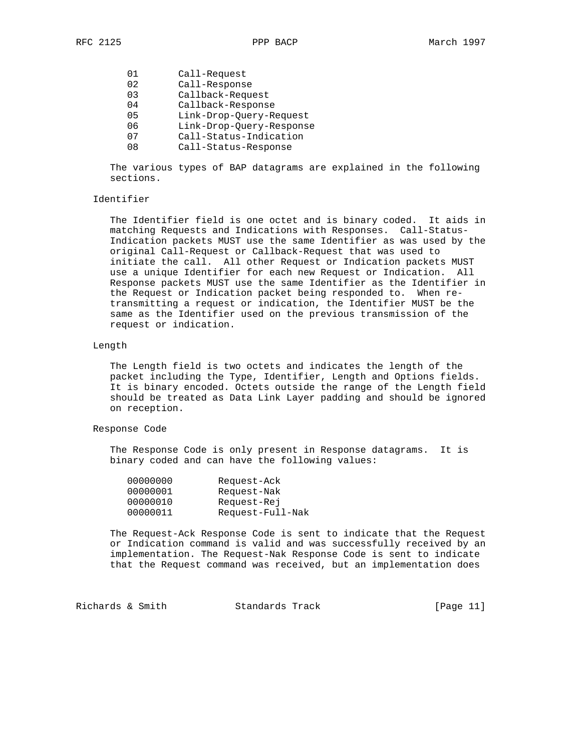| ი 1 | Call-Request             |
|-----|--------------------------|
| 02  | Call-Response            |
| 03  | Callback-Request         |
| 04  | Callback-Response        |
| 05  | Link-Drop-Query-Request  |
| ೧೯  | Link-Drop-Query-Response |
|     |                          |

- 07 Call-Status-Indication
- 08 Call-Status-Response

 The various types of BAP datagrams are explained in the following sections.

## Identifier

 The Identifier field is one octet and is binary coded. It aids in matching Requests and Indications with Responses. Call-Status- Indication packets MUST use the same Identifier as was used by the original Call-Request or Callback-Request that was used to initiate the call. All other Request or Indication packets MUST use a unique Identifier for each new Request or Indication. All Response packets MUST use the same Identifier as the Identifier in the Request or Indication packet being responded to. When re transmitting a request or indication, the Identifier MUST be the same as the Identifier used on the previous transmission of the request or indication.

## Length

 The Length field is two octets and indicates the length of the packet including the Type, Identifier, Length and Options fields. It is binary encoded. Octets outside the range of the Length field should be treated as Data Link Layer padding and should be ignored on reception.

## Response Code

 The Response Code is only present in Response datagrams. It is binary coded and can have the following values:

| Request-Ack      |
|------------------|
| Request-Nak      |
| Request-Rej      |
| Request-Full-Nak |
|                  |

 The Request-Ack Response Code is sent to indicate that the Request or Indication command is valid and was successfully received by an implementation. The Request-Nak Response Code is sent to indicate that the Request command was received, but an implementation does

| Richards & Smith<br>Standards Track | [Page 11] |  |
|-------------------------------------|-----------|--|
|-------------------------------------|-----------|--|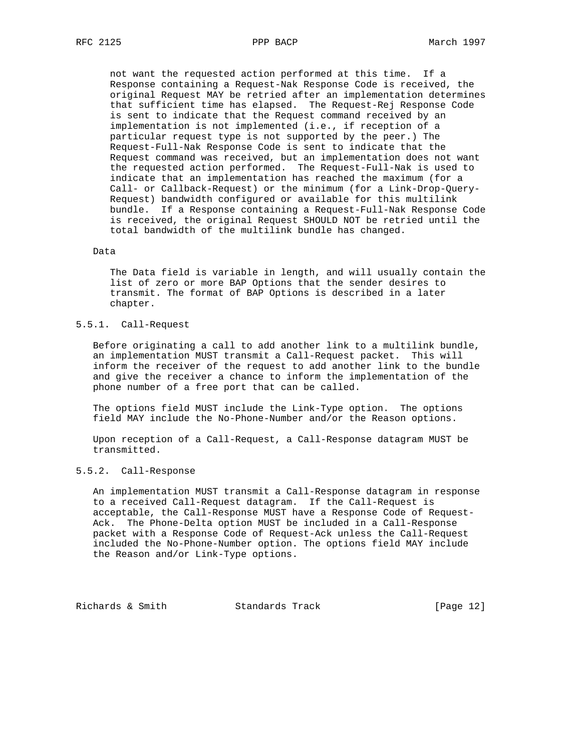not want the requested action performed at this time. If a Response containing a Request-Nak Response Code is received, the original Request MAY be retried after an implementation determines that sufficient time has elapsed. The Request-Rej Response Code is sent to indicate that the Request command received by an implementation is not implemented (i.e., if reception of a particular request type is not supported by the peer.) The Request-Full-Nak Response Code is sent to indicate that the Request command was received, but an implementation does not want the requested action performed. The Request-Full-Nak is used to indicate that an implementation has reached the maximum (for a Call- or Callback-Request) or the minimum (for a Link-Drop-Query- Request) bandwidth configured or available for this multilink bundle. If a Response containing a Request-Full-Nak Response Code is received, the original Request SHOULD NOT be retried until the total bandwidth of the multilink bundle has changed.

## Data

 The Data field is variable in length, and will usually contain the list of zero or more BAP Options that the sender desires to transmit. The format of BAP Options is described in a later chapter.

# 5.5.1. Call-Request

 Before originating a call to add another link to a multilink bundle, an implementation MUST transmit a Call-Request packet. This will inform the receiver of the request to add another link to the bundle and give the receiver a chance to inform the implementation of the phone number of a free port that can be called.

 The options field MUST include the Link-Type option. The options field MAY include the No-Phone-Number and/or the Reason options.

 Upon reception of a Call-Request, a Call-Response datagram MUST be transmitted.

# 5.5.2. Call-Response

 An implementation MUST transmit a Call-Response datagram in response to a received Call-Request datagram. If the Call-Request is acceptable, the Call-Response MUST have a Response Code of Request- Ack. The Phone-Delta option MUST be included in a Call-Response packet with a Response Code of Request-Ack unless the Call-Request included the No-Phone-Number option. The options field MAY include the Reason and/or Link-Type options.

Richards & Smith Standards Track [Page 12]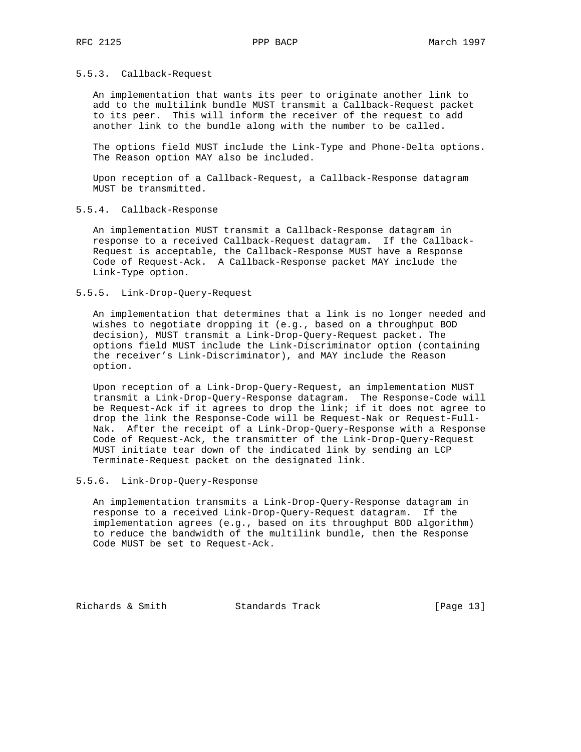## 5.5.3. Callback-Request

 An implementation that wants its peer to originate another link to add to the multilink bundle MUST transmit a Callback-Request packet to its peer. This will inform the receiver of the request to add another link to the bundle along with the number to be called.

 The options field MUST include the Link-Type and Phone-Delta options. The Reason option MAY also be included.

 Upon reception of a Callback-Request, a Callback-Response datagram MUST be transmitted.

## 5.5.4. Callback-Response

 An implementation MUST transmit a Callback-Response datagram in response to a received Callback-Request datagram. If the Callback- Request is acceptable, the Callback-Response MUST have a Response Code of Request-Ack. A Callback-Response packet MAY include the Link-Type option.

## 5.5.5. Link-Drop-Query-Request

 An implementation that determines that a link is no longer needed and wishes to negotiate dropping it (e.g., based on a throughput BOD decision), MUST transmit a Link-Drop-Query-Request packet. The options field MUST include the Link-Discriminator option (containing the receiver's Link-Discriminator), and MAY include the Reason option.

 Upon reception of a Link-Drop-Query-Request, an implementation MUST transmit a Link-Drop-Query-Response datagram. The Response-Code will be Request-Ack if it agrees to drop the link; if it does not agree to drop the link the Response-Code will be Request-Nak or Request-Full- Nak. After the receipt of a Link-Drop-Query-Response with a Response Code of Request-Ack, the transmitter of the Link-Drop-Query-Request MUST initiate tear down of the indicated link by sending an LCP Terminate-Request packet on the designated link.

## 5.5.6. Link-Drop-Query-Response

 An implementation transmits a Link-Drop-Query-Response datagram in response to a received Link-Drop-Query-Request datagram. If the implementation agrees (e.g., based on its throughput BOD algorithm) to reduce the bandwidth of the multilink bundle, then the Response Code MUST be set to Request-Ack.

Richards & Smith Standards Track [Page 13]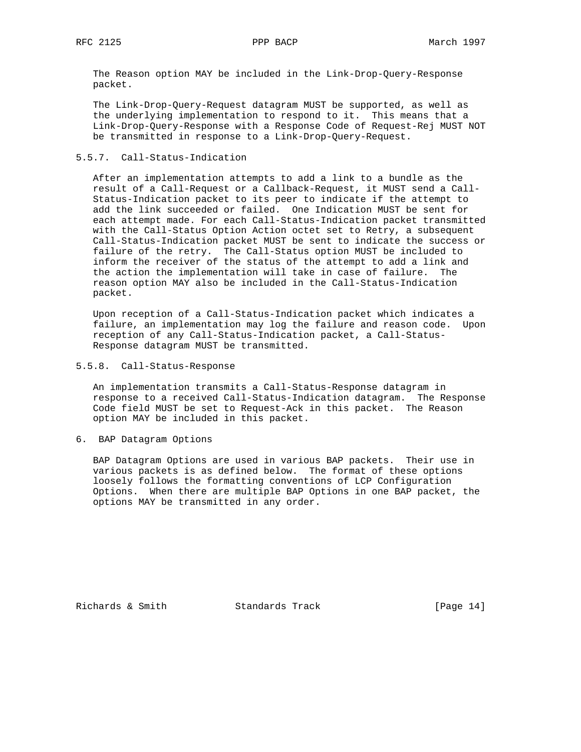The Reason option MAY be included in the Link-Drop-Query-Response packet.

 The Link-Drop-Query-Request datagram MUST be supported, as well as the underlying implementation to respond to it. This means that a Link-Drop-Query-Response with a Response Code of Request-Rej MUST NOT be transmitted in response to a Link-Drop-Query-Request.

## 5.5.7. Call-Status-Indication

 After an implementation attempts to add a link to a bundle as the result of a Call-Request or a Callback-Request, it MUST send a Call- Status-Indication packet to its peer to indicate if the attempt to add the link succeeded or failed. One Indication MUST be sent for each attempt made. For each Call-Status-Indication packet transmitted with the Call-Status Option Action octet set to Retry, a subsequent Call-Status-Indication packet MUST be sent to indicate the success or failure of the retry. The Call-Status option MUST be included to inform the receiver of the status of the attempt to add a link and the action the implementation will take in case of failure. The reason option MAY also be included in the Call-Status-Indication packet.

 Upon reception of a Call-Status-Indication packet which indicates a failure, an implementation may log the failure and reason code. Upon reception of any Call-Status-Indication packet, a Call-Status- Response datagram MUST be transmitted.

## 5.5.8. Call-Status-Response

 An implementation transmits a Call-Status-Response datagram in response to a received Call-Status-Indication datagram. The Response Code field MUST be set to Request-Ack in this packet. The Reason option MAY be included in this packet.

# 6. BAP Datagram Options

 BAP Datagram Options are used in various BAP packets. Their use in various packets is as defined below. The format of these options loosely follows the formatting conventions of LCP Configuration Options. When there are multiple BAP Options in one BAP packet, the options MAY be transmitted in any order.

Richards & Smith Standards Track [Page 14]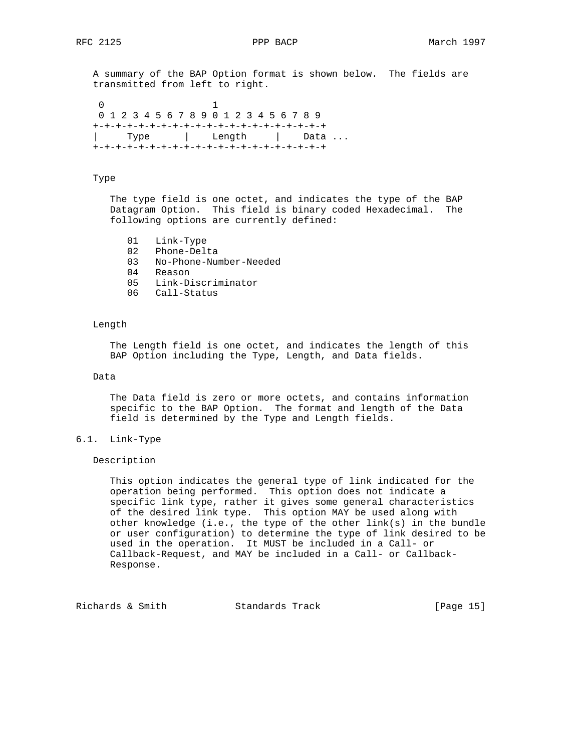A summary of the BAP Option format is shown below. The fields are transmitted from left to right.

 0 1 0 1 2 3 4 5 6 7 8 9 0 1 2 3 4 5 6 7 8 9 +-+-+-+-+-+-+-+-+-+-+-+-+-+-+-+-+-+-+-+-+ Type | Length | Data ... +-+-+-+-+-+-+-+-+-+-+-+-+-+-+-+-+-+-+-+-+

# Type

 The type field is one octet, and indicates the type of the BAP Datagram Option. This field is binary coded Hexadecimal. The following options are currently defined:

- 01 Link-Type
- 02 Phone-Delta<br>03 No-Phone-Num
- 03 No-Phone-Number-Needed
- 04 Reason
- 05 Link-Discriminator
- 06 Call-Status

## Length

 The Length field is one octet, and indicates the length of this BAP Option including the Type, Length, and Data fields.

Data

 The Data field is zero or more octets, and contains information specific to the BAP Option. The format and length of the Data field is determined by the Type and Length fields.

# 6.1. Link-Type

Description

 This option indicates the general type of link indicated for the operation being performed. This option does not indicate a specific link type, rather it gives some general characteristics of the desired link type. This option MAY be used along with other knowledge (i.e., the type of the other link(s) in the bundle or user configuration) to determine the type of link desired to be used in the operation. It MUST be included in a Call- or Callback-Request, and MAY be included in a Call- or Callback- Response.

Richards & Smith Standards Track [Page 15]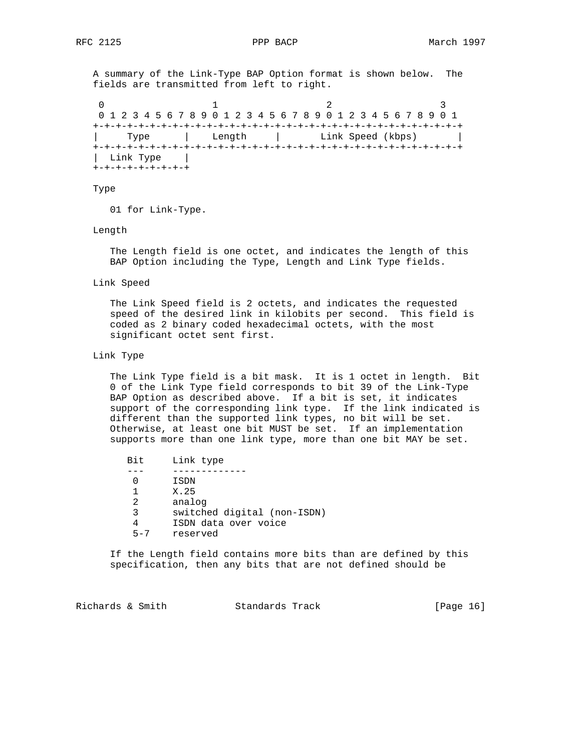A summary of the Link-Type BAP Option format is shown below. The fields are transmitted from left to right.

0  $1$  2 3 0 1 2 3 4 5 6 7 8 9 0 1 2 3 4 5 6 7 8 9 0 1 2 3 4 5 6 7 8 9 0 1 +-+-+-+-+-+-+-+-+-+-+-+-+-+-+-+-+-+-+-+-+-+-+-+-+-+-+-+-+-+-+-+-+ | Type | Length | Link Speed (kbps) | +-+-+-+-+-+-+-+-+-+-+-+-+-+-+-+-+-+-+-+-+-+-+-+-+-+-+-+-+-+-+-+-+ | Link Type | +-+-+-+-+-+-+-+-+

## Type

01 for Link-Type.

Length

 The Length field is one octet, and indicates the length of this BAP Option including the Type, Length and Link Type fields.

Link Speed

 The Link Speed field is 2 octets, and indicates the requested speed of the desired link in kilobits per second. This field is coded as 2 binary coded hexadecimal octets, with the most significant octet sent first.

## Link Type

 The Link Type field is a bit mask. It is 1 octet in length. Bit 0 of the Link Type field corresponds to bit 39 of the Link-Type BAP Option as described above. If a bit is set, it indicates support of the corresponding link type. If the link indicated is different than the supported link types, no bit will be set. Otherwise, at least one bit MUST be set. If an implementation supports more than one link type, more than one bit MAY be set.

 Bit Link type --- ------------- 0 ISDN 1 X.25 2 analog 3 switched digital (non-ISDN) 4 ISDN data over voice 5-7 reserved

 If the Length field contains more bits than are defined by this specification, then any bits that are not defined should be

Richards & Smith Standards Track [Page 16]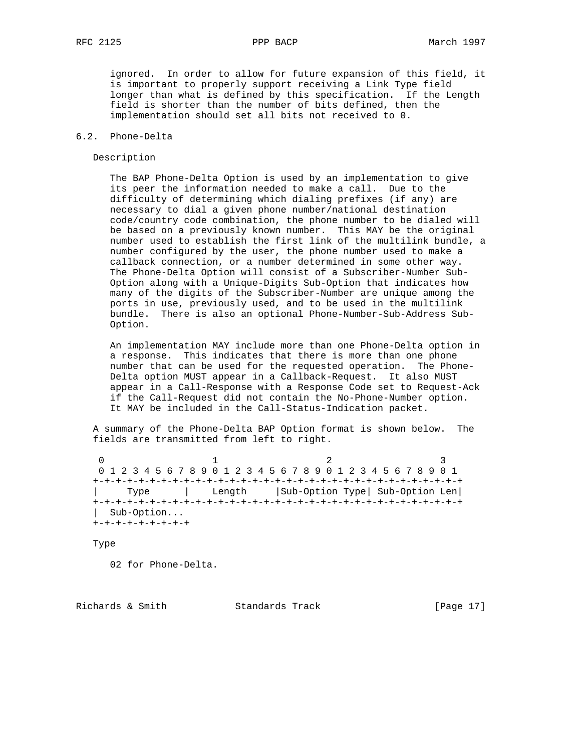ignored. In order to allow for future expansion of this field, it is important to properly support receiving a Link Type field longer than what is defined by this specification. If the Length field is shorter than the number of bits defined, then the implementation should set all bits not received to 0.

## 6.2. Phone-Delta

## Description

 The BAP Phone-Delta Option is used by an implementation to give its peer the information needed to make a call. Due to the difficulty of determining which dialing prefixes (if any) are necessary to dial a given phone number/national destination code/country code combination, the phone number to be dialed will be based on a previously known number. This MAY be the original number used to establish the first link of the multilink bundle, a number configured by the user, the phone number used to make a callback connection, or a number determined in some other way. The Phone-Delta Option will consist of a Subscriber-Number Sub- Option along with a Unique-Digits Sub-Option that indicates how many of the digits of the Subscriber-Number are unique among the ports in use, previously used, and to be used in the multilink bundle. There is also an optional Phone-Number-Sub-Address Sub- Option.

 An implementation MAY include more than one Phone-Delta option in a response. This indicates that there is more than one phone number that can be used for the requested operation. The Phone- Delta option MUST appear in a Callback-Request. It also MUST appear in a Call-Response with a Response Code set to Request-Ack if the Call-Request did not contain the No-Phone-Number option. It MAY be included in the Call-Status-Indication packet.

 A summary of the Phone-Delta BAP Option format is shown below. The fields are transmitted from left to right.

0  $1$  2 3 0 1 2 3 4 5 6 7 8 9 0 1 2 3 4 5 6 7 8 9 0 1 2 3 4 5 6 7 8 9 0 1 +-+-+-+-+-+-+-+-+-+-+-+-+-+-+-+-+-+-+-+-+-+-+-+-+-+-+-+-+-+-+-+-+ | Type | Length |Sub-Option Type| Sub-Option Len| +-+-+-+-+-+-+-+-+-+-+-+-+-+-+-+-+-+-+-+-+-+-+-+-+-+-+-+-+-+-+-+-+ | Sub-Option... +-+-+-+-+-+-+-+-+

Type

02 for Phone-Delta.

Richards & Smith Standards Track [Page 17]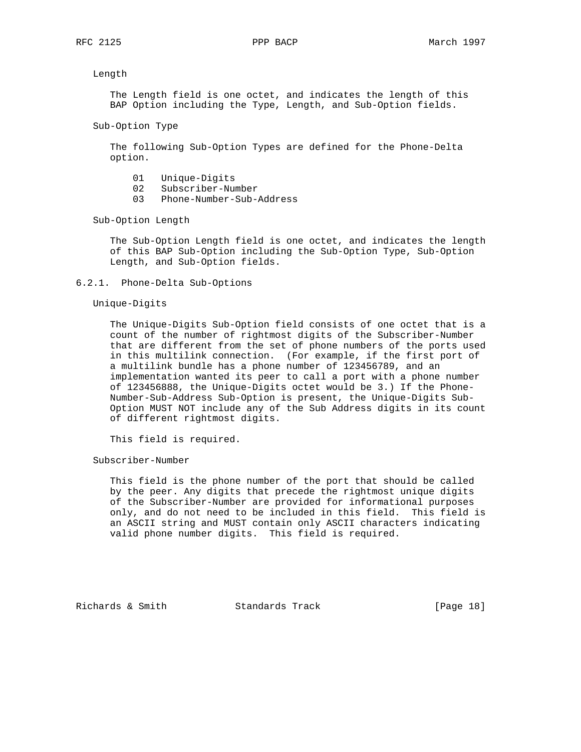## Length

 The Length field is one octet, and indicates the length of this BAP Option including the Type, Length, and Sub-Option fields.

```
 Sub-Option Type
```
 The following Sub-Option Types are defined for the Phone-Delta option.

- 01 Unique-Digits
- 02 Subscriber-Number
- 03 Phone-Number-Sub-Address

Sub-Option Length

 The Sub-Option Length field is one octet, and indicates the length of this BAP Sub-Option including the Sub-Option Type, Sub-Option Length, and Sub-Option fields.

6.2.1. Phone-Delta Sub-Options

## Unique-Digits

 The Unique-Digits Sub-Option field consists of one octet that is a count of the number of rightmost digits of the Subscriber-Number that are different from the set of phone numbers of the ports used in this multilink connection. (For example, if the first port of a multilink bundle has a phone number of 123456789, and an implementation wanted its peer to call a port with a phone number of 123456888, the Unique-Digits octet would be 3.) If the Phone- Number-Sub-Address Sub-Option is present, the Unique-Digits Sub- Option MUST NOT include any of the Sub Address digits in its count of different rightmost digits.

This field is required.

Subscriber-Number

 This field is the phone number of the port that should be called by the peer. Any digits that precede the rightmost unique digits of the Subscriber-Number are provided for informational purposes only, and do not need to be included in this field. This field is an ASCII string and MUST contain only ASCII characters indicating valid phone number digits. This field is required.

Richards & Smith Standards Track [Page 18]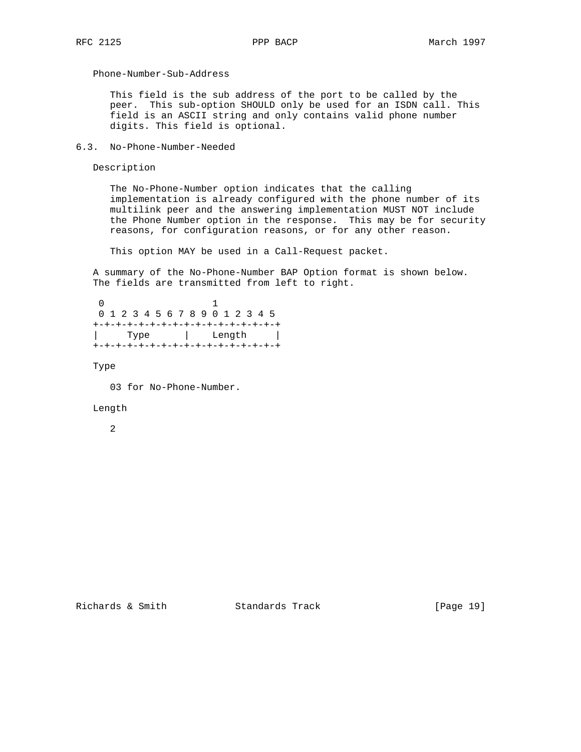Phone-Number-Sub-Address

 This field is the sub address of the port to be called by the peer. This sub-option SHOULD only be used for an ISDN call. This field is an ASCII string and only contains valid phone number digits. This field is optional.

6.3. No-Phone-Number-Needed

Description

 The No-Phone-Number option indicates that the calling implementation is already configured with the phone number of its multilink peer and the answering implementation MUST NOT include the Phone Number option in the response. This may be for security reasons, for configuration reasons, or for any other reason.

This option MAY be used in a Call-Request packet.

 A summary of the No-Phone-Number BAP Option format is shown below. The fields are transmitted from left to right.

 0 1 0 1 2 3 4 5 6 7 8 9 0 1 2 3 4 5 +-+-+-+-+-+-+-+-+-+-+-+-+-+-+-+-+ | Type | Length | +-+-+-+-+-+-+-+-+-+-+-+-+-+-+-+-+

Type

03 for No-Phone-Number.

## Length

2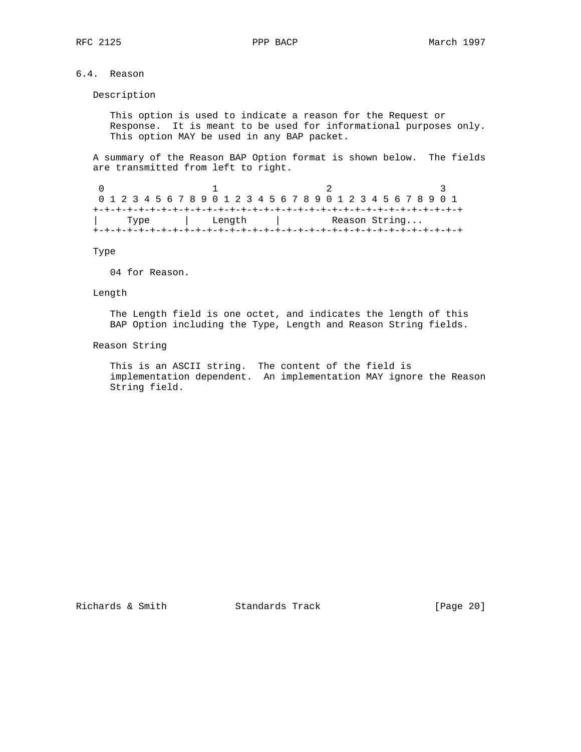# 6.4. Reason

Description

 This option is used to indicate a reason for the Request or Response. It is meant to be used for informational purposes only. This option MAY be used in any BAP packet.

 A summary of the Reason BAP Option format is shown below. The fields are transmitted from left to right.

0  $1$  2 3 0 1 2 3 4 5 6 7 8 9 0 1 2 3 4 5 6 7 8 9 0 1 2 3 4 5 6 7 8 9 0 1 +-+-+-+-+-+-+-+-+-+-+-+-+-+-+-+-+-+-+-+-+-+-+-+-+-+-+-+-+-+-+-+-+ Type | Length | Reason String... +-+-+-+-+-+-+-+-+-+-+-+-+-+-+-+-+-+-+-+-+-+-+-+-+-+-+-+-+-+-+-+-+

Type

04 for Reason.

## Length

 The Length field is one octet, and indicates the length of this BAP Option including the Type, Length and Reason String fields.

## Reason String

 This is an ASCII string. The content of the field is implementation dependent. An implementation MAY ignore the Reason String field.

Richards & Smith Standards Track [Page 20]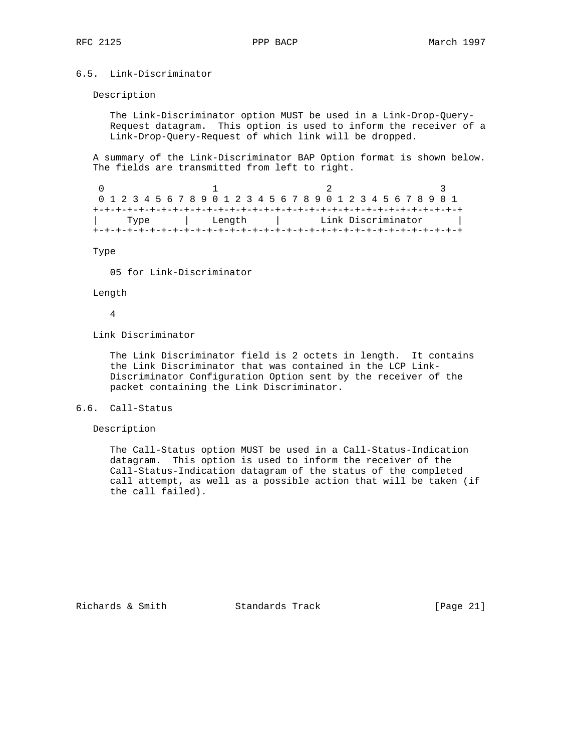# 6.5. Link-Discriminator

## Description

 The Link-Discriminator option MUST be used in a Link-Drop-Query- Request datagram. This option is used to inform the receiver of a Link-Drop-Query-Request of which link will be dropped.

 A summary of the Link-Discriminator BAP Option format is shown below. The fields are transmitted from left to right.

0  $1$  2 3 0 1 2 3 4 5 6 7 8 9 0 1 2 3 4 5 6 7 8 9 0 1 2 3 4 5 6 7 8 9 0 1 +-+-+-+-+-+-+-+-+-+-+-+-+-+-+-+-+-+-+-+-+-+-+-+-+-+-+-+-+-+-+-+-+ | Type | Length | Link Discriminator | +-+-+-+-+-+-+-+-+-+-+-+-+-+-+-+-+-+-+-+-+-+-+-+-+-+-+-+-+-+-+-+-+

Type

05 for Link-Discriminator

## Length

4

Link Discriminator

 The Link Discriminator field is 2 octets in length. It contains the Link Discriminator that was contained in the LCP Link- Discriminator Configuration Option sent by the receiver of the packet containing the Link Discriminator.

# 6.6. Call-Status

Description

 The Call-Status option MUST be used in a Call-Status-Indication datagram. This option is used to inform the receiver of the Call-Status-Indication datagram of the status of the completed call attempt, as well as a possible action that will be taken (if the call failed).

Richards & Smith Standards Track [Page 21]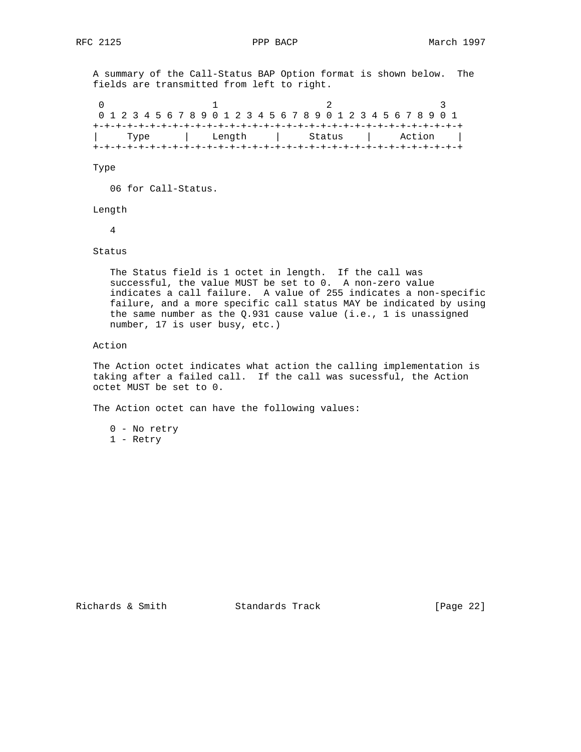A summary of the Call-Status BAP Option format is shown below. The fields are transmitted from left to right.

0  $1$  2 3 0 1 2 3 4 5 6 7 8 9 0 1 2 3 4 5 6 7 8 9 0 1 2 3 4 5 6 7 8 9 0 1 +-+-+-+-+-+-+-+-+-+-+-+-+-+-+-+-+-+-+-+-+-+-+-+-+-+-+-+-+-+-+-+-+ | Type | Length | Status | Action | +-+-+-+-+-+-+-+-+-+-+-+-+-+-+-+-+-+-+-+-+-+-+-+-+-+-+-+-+-+-+-+-+

Type

06 for Call-Status.

Length

4

Status

 The Status field is 1 octet in length. If the call was successful, the value MUST be set to 0. A non-zero value indicates a call failure. A value of 255 indicates a non-specific failure, and a more specific call status MAY be indicated by using the same number as the  $Q.931$  cause value (i.e., 1 is unassigned number, 17 is user busy, etc.)

Action

 The Action octet indicates what action the calling implementation is taking after a failed call. If the call was sucessful, the Action octet MUST be set to 0.

The Action octet can have the following values:

 0 - No retry 1 - Retry

Richards & Smith Standards Track [Page 22]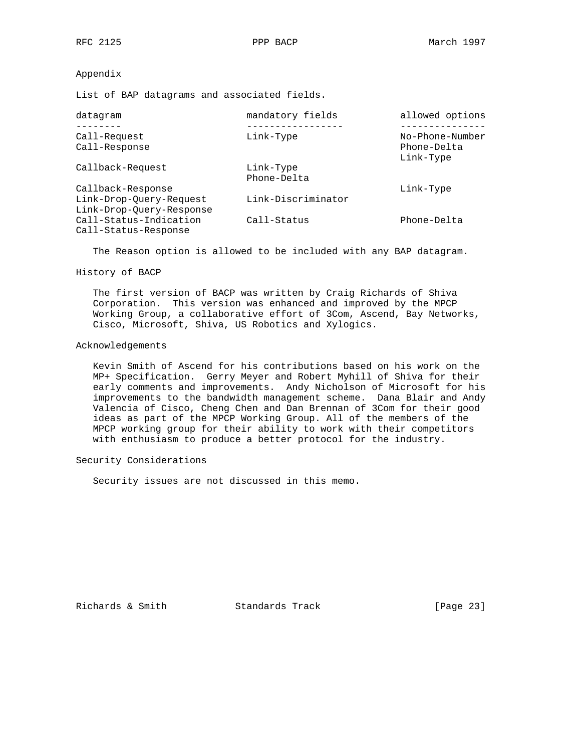## Appendix

List of BAP datagrams and associated fields.

| datagram                                            | mandatory fields         | allowed options                             |
|-----------------------------------------------------|--------------------------|---------------------------------------------|
| Call-Request<br>Call-Response                       | Link-Type                | No-Phone-Number<br>Phone-Delta<br>Link-Type |
| Callback-Request                                    | Link-Type<br>Phone-Delta |                                             |
| Callback-Response                                   |                          | Link-Type                                   |
| Link-Drop-Ouery-Request<br>Link-Drop-Ouery-Response | Link-Discriminator       |                                             |
| Call-Status-Indication<br>Call-Status-Response      | Call-Status              | Phone-Delta                                 |

The Reason option is allowed to be included with any BAP datagram.

## History of BACP

 The first version of BACP was written by Craig Richards of Shiva Corporation. This version was enhanced and improved by the MPCP Working Group, a collaborative effort of 3Com, Ascend, Bay Networks, Cisco, Microsoft, Shiva, US Robotics and Xylogics.

## Acknowledgements

 Kevin Smith of Ascend for his contributions based on his work on the MP+ Specification. Gerry Meyer and Robert Myhill of Shiva for their early comments and improvements. Andy Nicholson of Microsoft for his improvements to the bandwidth management scheme. Dana Blair and Andy Valencia of Cisco, Cheng Chen and Dan Brennan of 3Com for their good ideas as part of the MPCP Working Group. All of the members of the MPCP working group for their ability to work with their competitors with enthusiasm to produce a better protocol for the industry.

## Security Considerations

Security issues are not discussed in this memo.

Richards & Smith Standards Track [Page 23]